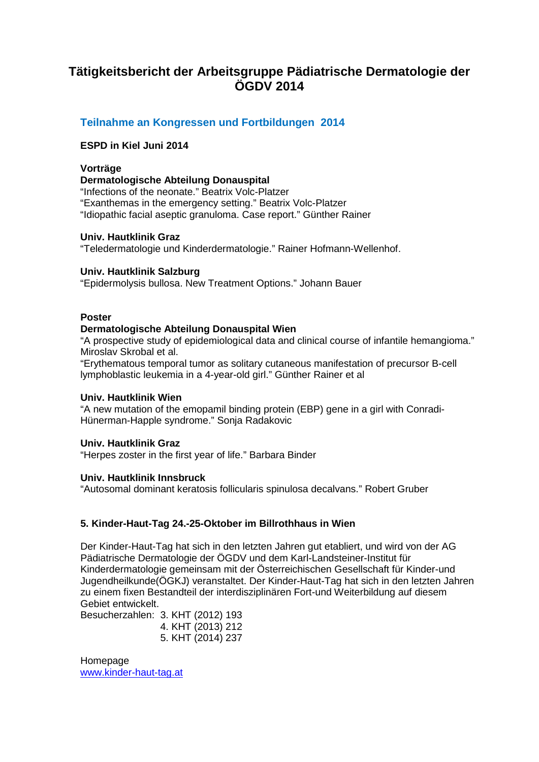### **Tätigkeitsbericht der Arbeitsgruppe Pädiatrische Dermatologie der ÖGDV 2014**

### **Teilnahme an Kongressen und Fortbildungen 2014**

#### **ESPD in Kiel Juni 2014**

#### **Vorträge**

#### **Dermatologische Abteilung Donauspital**

"Infections of the neonate." Beatrix Volc-Platzer "Exanthemas in the emergency setting." Beatrix Volc-Platzer "Idiopathic facial aseptic granuloma. Case report." Günther Rainer

#### **Univ. Hautklinik Graz**

"Teledermatologie und Kinderdermatologie." Rainer Hofmann-Wellenhof.

#### **Univ. Hautklinik Salzburg**

"Epidermolysis bullosa. New Treatment Options." Johann Bauer

#### **Poster**

#### **Dermatologische Abteilung Donauspital Wien**

"A prospective study of epidemiological data and clinical course of infantile hemangioma." Miroslav Skrobal et al.

"Erythematous temporal tumor as solitary cutaneous manifestation of precursor B-cell lymphoblastic leukemia in a 4-year-old girl." Günther Rainer et al

#### **Univ. Hautklinik Wien**

"A new mutation of the emopamil binding protein (EBP) gene in a girl with Conradi-Hünerman-Happle syndrome." Sonja Radakovic

#### **Univ. Hautklinik Graz**

"Herpes zoster in the first year of life." Barbara Binder

#### **Univ. Hautklinik Innsbruck**

"Autosomal dominant keratosis follicularis spinulosa decalvans." Robert Gruber

#### **5. Kinder-Haut-Tag 24.-25-Oktober im Billrothhaus in Wien**

Der Kinder-Haut-Tag hat sich in den letzten Jahren gut etabliert, und wird von der AG Pädiatrische Dermatologie der ÖGDV und dem Karl-Landsteiner-Institut für Kinderdermatologie gemeinsam mit der Österreichischen Gesellschaft für Kinder-und Jugendheilkunde(ÖGKJ) veranstaltet. Der Kinder-Haut-Tag hat sich in den letzten Jahren zu einem fixen Bestandteil der interdisziplinären Fort-und Weiterbildung auf diesem Gebiet entwickelt.

Besucherzahlen: 3. KHT (2012) 193

- 4. KHT (2013) 212
	- 5. KHT (2014) 237

Homepage [www.kinder-haut-tag.at](http://www.kinder-haut-tag.at/)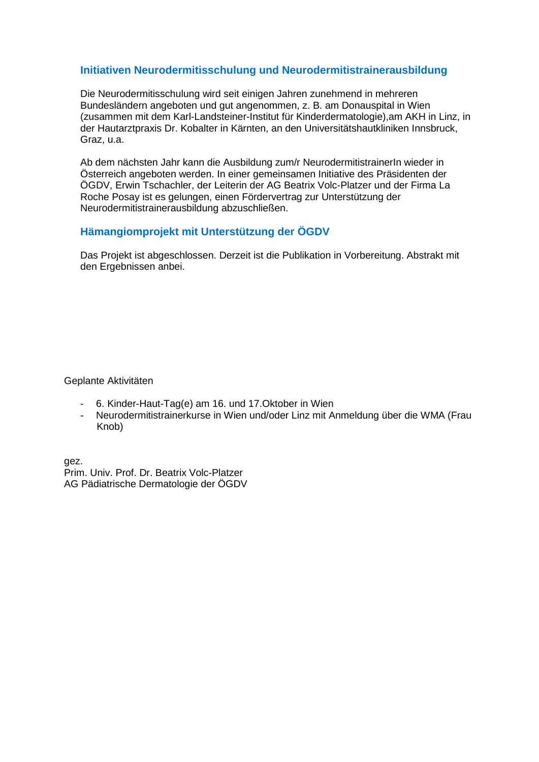#### **Initiativen Neurodermitisschulung und Neurodermitistrainerausbildung**

Die Neurodermitisschulung wird seit einigen Jahren zunehmend in mehreren Bundesländern angeboten und gut angenommen, z. B. am Donauspital in Wien (zusammen mit dem Karl-Landsteiner-Institut für Kinderdermatologie),am AKH in Linz, in der Hautarztpraxis Dr. Kobalter in Kärnten, an den Universitätshautkliniken Innsbruck, Graz, u.a.

Ab dem nächsten Jahr kann die Ausbildung zum/r NeurodermitistrainerIn wieder in Österreich angeboten werden. In einer gemeinsamen Initiative des Präsidenten der ÖGDV, Erwin Tschachler, der Leiterin der AG Beatrix Volc-Platzer und der Firma La Roche Posay ist es gelungen, einen Fördervertrag zur Unterstützung der Neurodermitistrainerausbildung abzuschließen.

#### **Hämangiomprojekt mit Unterstützung der ÖGDV**

Das Projekt ist abgeschlossen. Derzeit ist die Publikation in Vorbereitung. Abstrakt mit den Ergebnissen anbei.

#### Geplante Aktivitäten

- 6. Kinder-Haut-Tag(e) am 16. und 17.Oktober in Wien
- Neurodermitistrainerkurse in Wien und/oder Linz mit Anmeldung über die WMA (Frau Knob)

gez. Prim. Univ. Prof. Dr. Beatrix Volc-Platzer AG Pädiatrische Dermatologie der ÖGDV